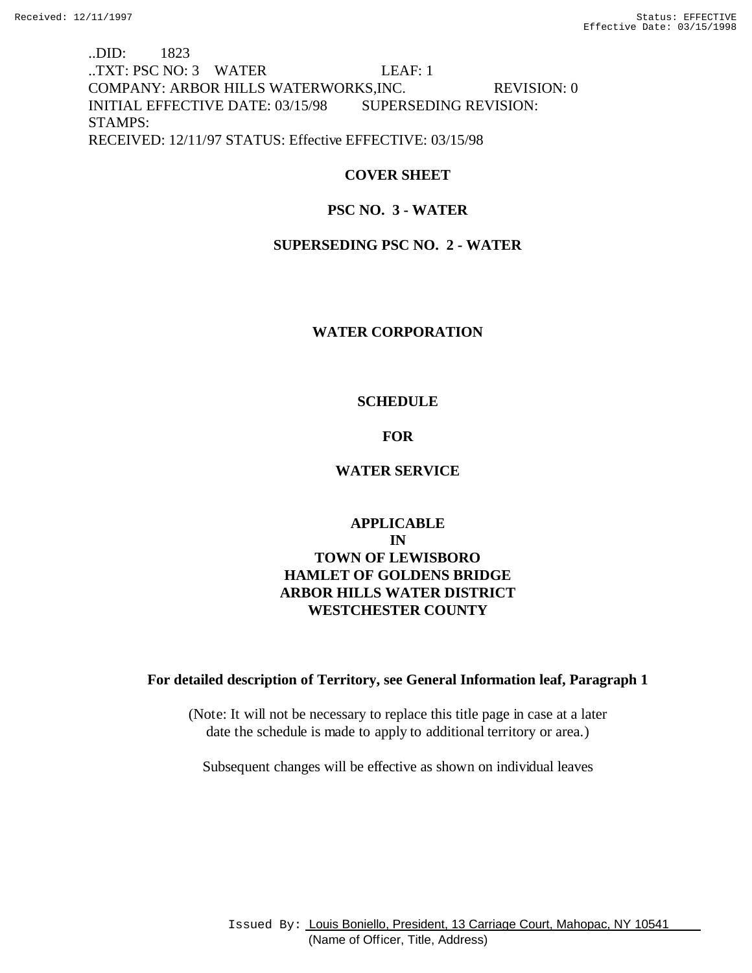..DID: 1823 ..TXT: PSC NO: 3 WATER LEAF: 1 COMPANY: ARBOR HILLS WATERWORKS,INC. REVISION: 0 INITIAL EFFECTIVE DATE: 03/15/98 SUPERSEDING REVISION: STAMPS: RECEIVED: 12/11/97 STATUS: Effective EFFECTIVE: 03/15/98

# **COVER SHEET**

# **PSC NO. 3 - WATER**

# **SUPERSEDING PSC NO. 2 - WATER**

## **WATER CORPORATION**

## **SCHEDULE**

## **FOR**

## **WATER SERVICE**

# **APPLICABLE IN TOWN OF LEWISBORO HAMLET OF GOLDENS BRIDGE ARBOR HILLS WATER DISTRICT WESTCHESTER COUNTY**

## **For detailed description of Territory, see General Information leaf, Paragraph 1**

(Note: It will not be necessary to replace this title page in case at a later date the schedule is made to apply to additional territory or area.)

Subsequent changes will be effective as shown on individual leaves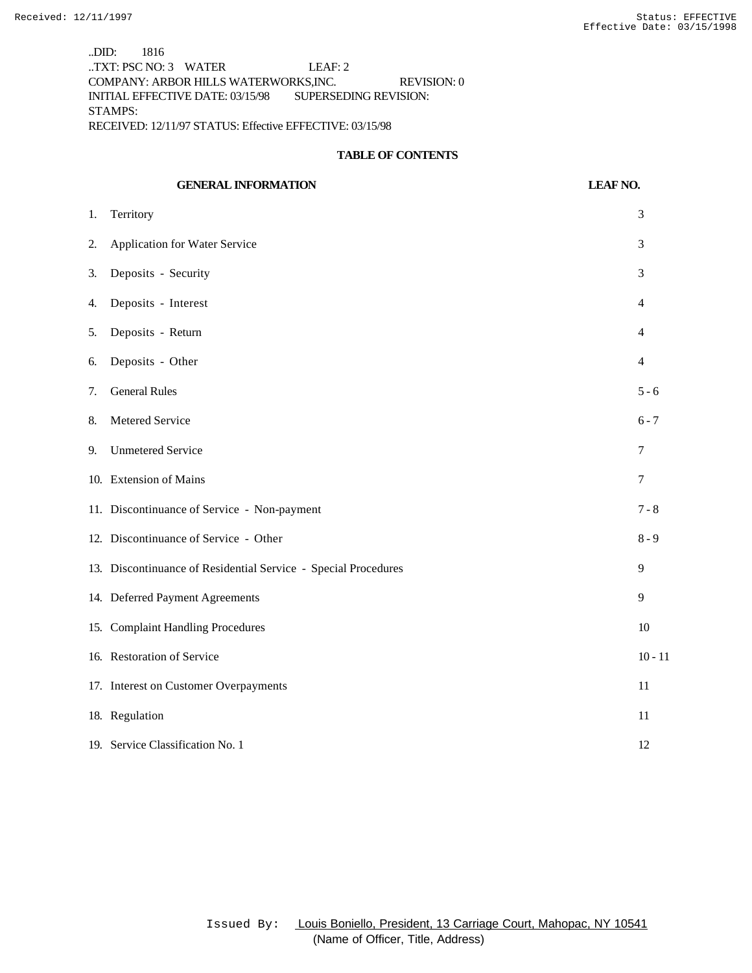..DID: 1816 ..TXT: PSC NO: 3 WATER LEAF: 2 COMPANY: ARBOR HILLS WATERWORKS,INC. REVISION: 0 INITIAL EFFECTIVE DATE: 03/15/98 SUPERSEDING REVISION: STAMPS: RECEIVED: 12/11/97 STATUS: Effective EFFECTIVE: 03/15/98

#### **TABLE OF CONTENTS**

|                  | <b>GENERAL INFORMATION</b>                                     | <b>LEAF NO.</b> |
|------------------|----------------------------------------------------------------|-----------------|
| 1.               | Territory                                                      | 3               |
| $\overline{2}$ . | Application for Water Service                                  | 3               |
| 3.               | Deposits - Security                                            | 3               |
| 4.               | Deposits - Interest                                            | 4               |
| 5.               | Deposits - Return                                              | 4               |
| 6.               | Deposits - Other                                               | $\overline{4}$  |
| 7.               | <b>General Rules</b>                                           | $5 - 6$         |
| 8.               | Metered Service                                                | $6 - 7$         |
| 9.               | <b>Unmetered Service</b>                                       | 7               |
|                  | 10. Extension of Mains                                         | 7               |
|                  | 11. Discontinuance of Service - Non-payment                    | $7 - 8$         |
|                  | 12. Discontinuance of Service - Other                          | $8 - 9$         |
|                  | 13. Discontinuance of Residential Service - Special Procedures | 9               |
|                  | 14. Deferred Payment Agreements                                | 9               |
|                  | 15. Complaint Handling Procedures                              | 10              |
|                  | 16. Restoration of Service                                     | $10 - 11$       |
|                  | 17. Interest on Customer Overpayments                          | 11              |
|                  | 18. Regulation                                                 | 11              |
|                  | 19. Service Classification No. 1                               | 12              |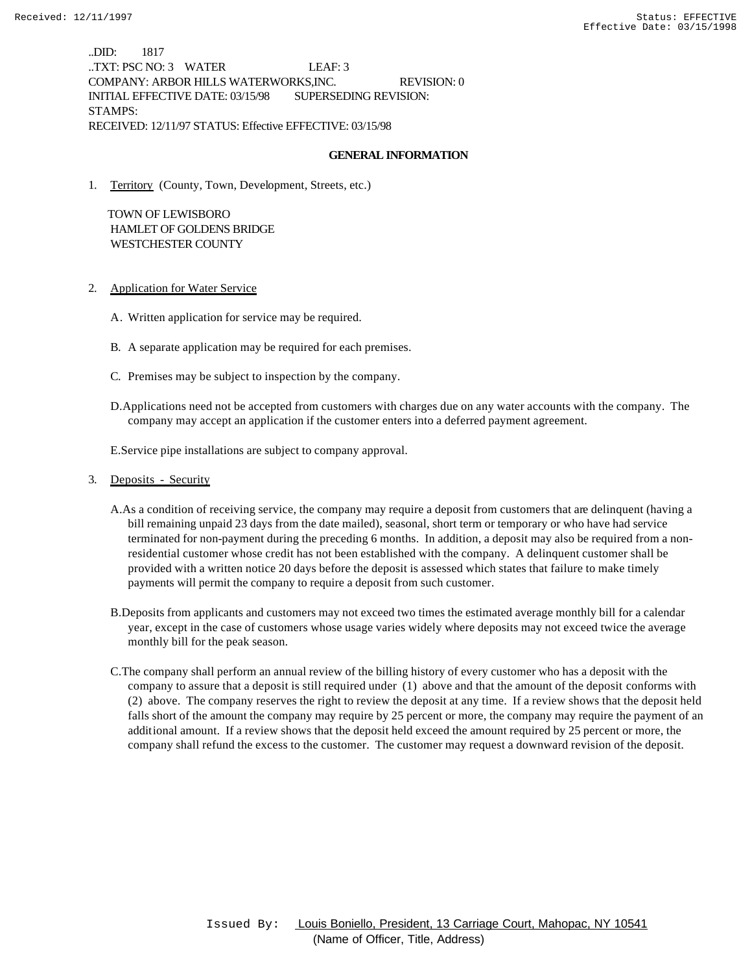..DID: 1817 ..TXT: PSC NO: 3 WATER LEAF: 3 COMPANY: ARBOR HILLS WATERWORKS,INC. REVISION: 0 INITIAL EFFECTIVE DATE: 03/15/98 SUPERSEDING REVISION: STAMPS: RECEIVED: 12/11/97 STATUS: Effective EFFECTIVE: 03/15/98

#### **GENERAL INFORMATION**

1. Territory (County, Town, Development, Streets, etc.)

 TOWN OF LEWISBORO HAMLET OF GOLDENS BRIDGE WESTCHESTER COUNTY

- 2. Application for Water Service
	- A. Written application for service may be required.
	- B. A separate application may be required for each premises.
	- C. Premises may be subject to inspection by the company.
	- D.Applications need not be accepted from customers with charges due on any water accounts with the company. The company may accept an application if the customer enters into a deferred payment agreement.

E.Service pipe installations are subject to company approval.

## 3. Deposits - Security

- A.As a condition of receiving service, the company may require a deposit from customers that are delinquent (having a bill remaining unpaid 23 days from the date mailed), seasonal, short term or temporary or who have had service terminated for non-payment during the preceding 6 months. In addition, a deposit may also be required from a nonresidential customer whose credit has not been established with the company. A delinquent customer shall be provided with a written notice 20 days before the deposit is assessed which states that failure to make timely payments will permit the company to require a deposit from such customer.
- B.Deposits from applicants and customers may not exceed two times the estimated average monthly bill for a calendar year, except in the case of customers whose usage varies widely where deposits may not exceed twice the average monthly bill for the peak season.
- C.The company shall perform an annual review of the billing history of every customer who has a deposit with the company to assure that a deposit is still required under (1) above and that the amount of the deposit conforms with (2) above. The company reserves the right to review the deposit at any time. If a review shows that the deposit held falls short of the amount the company may require by 25 percent or more, the company may require the payment of an additional amount. If a review shows that the deposit held exceed the amount required by 25 percent or more, the company shall refund the excess to the customer. The customer may request a downward revision of the deposit.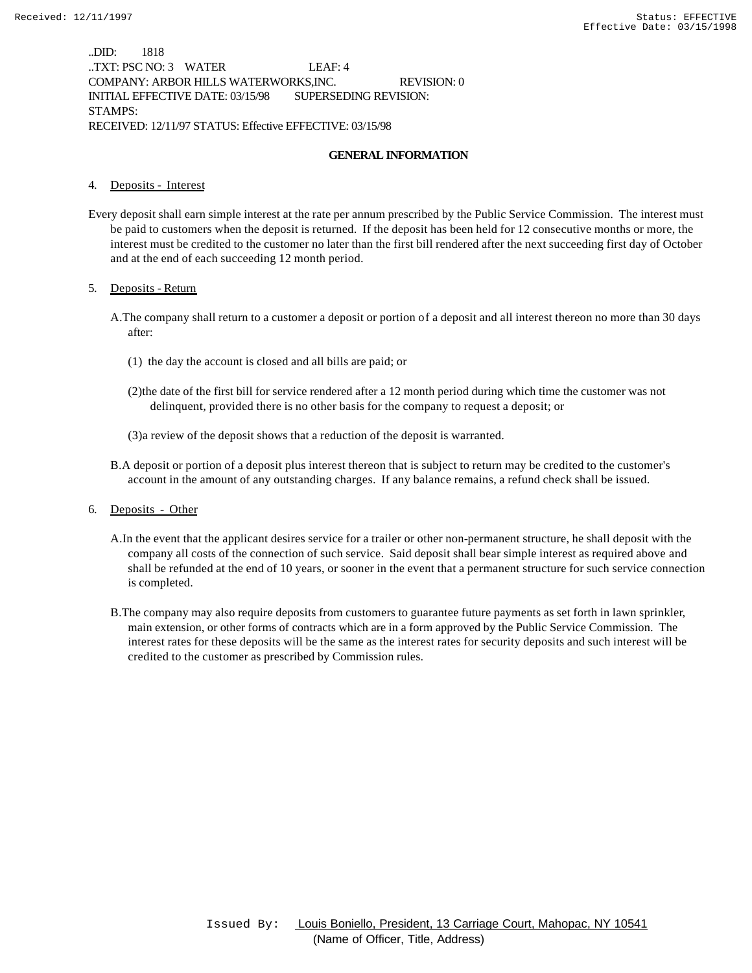..DID: 1818 ..TXT: PSC NO: 3 WATER LEAF: 4 COMPANY: ARBOR HILLS WATERWORKS,INC. REVISION: 0 INITIAL EFFECTIVE DATE: 03/15/98 SUPERSEDING REVISION: STAMPS: RECEIVED: 12/11/97 STATUS: Effective EFFECTIVE: 03/15/98

### **GENERAL INFORMATION**

#### 4. Deposits - Interest

Every deposit shall earn simple interest at the rate per annum prescribed by the Public Service Commission. The interest must be paid to customers when the deposit is returned. If the deposit has been held for 12 consecutive months or more, the interest must be credited to the customer no later than the first bill rendered after the next succeeding first day of October and at the end of each succeeding 12 month period.

#### 5. Deposits - Return

- A.The company shall return to a customer a deposit or portion of a deposit and all interest thereon no more than 30 days after:
	- (1) the day the account is closed and all bills are paid; or
	- (2)the date of the first bill for service rendered after a 12 month period during which time the customer was not delinquent, provided there is no other basis for the company to request a deposit; or
	- (3)a review of the deposit shows that a reduction of the deposit is warranted.
- B.A deposit or portion of a deposit plus interest thereon that is subject to return may be credited to the customer's account in the amount of any outstanding charges. If any balance remains, a refund check shall be issued.
- 6. Deposits Other
	- A.In the event that the applicant desires service for a trailer or other non-permanent structure, he shall deposit with the company all costs of the connection of such service. Said deposit shall bear simple interest as required above and shall be refunded at the end of 10 years, or sooner in the event that a permanent structure for such service connection is completed.
	- B.The company may also require deposits from customers to guarantee future payments as set forth in lawn sprinkler, main extension, or other forms of contracts which are in a form approved by the Public Service Commission. The interest rates for these deposits will be the same as the interest rates for security deposits and such interest will be credited to the customer as prescribed by Commission rules.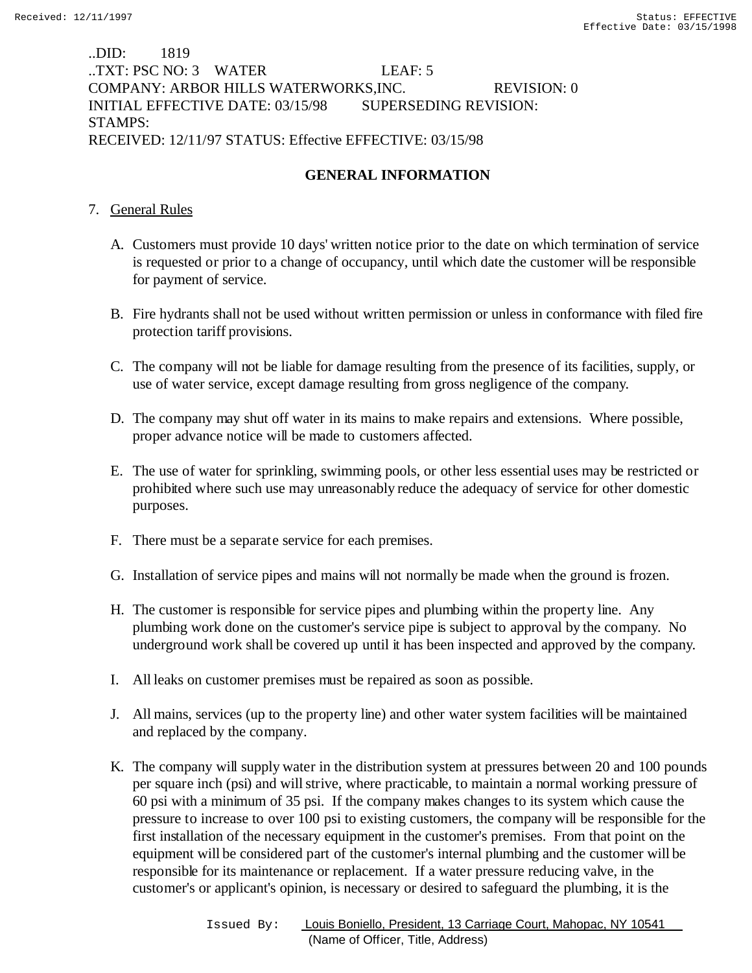..DID: 1819 ..TXT: PSC NO: 3 WATER LEAF: 5 COMPANY: ARBOR HILLS WATERWORKS,INC. REVISION: 0 INITIAL EFFECTIVE DATE: 03/15/98 SUPERSEDING REVISION: STAMPS: RECEIVED: 12/11/97 STATUS: Effective EFFECTIVE: 03/15/98

# **GENERAL INFORMATION**

# 7. General Rules

- A. Customers must provide 10 days' written notice prior to the date on which termination of service is requested or prior to a change of occupancy, until which date the customer will be responsible for payment of service.
- B. Fire hydrants shall not be used without written permission or unless in conformance with filed fire protection tariff provisions.
- C. The company will not be liable for damage resulting from the presence of its facilities, supply, or use of water service, except damage resulting from gross negligence of the company.
- D. The company may shut off water in its mains to make repairs and extensions. Where possible, proper advance notice will be made to customers affected.
- E. The use of water for sprinkling, swimming pools, or other less essential uses may be restricted or prohibited where such use may unreasonably reduce the adequacy of service for other domestic purposes.
- F. There must be a separate service for each premises.
- G. Installation of service pipes and mains will not normally be made when the ground is frozen.
- H. The customer is responsible for service pipes and plumbing within the property line. Any plumbing work done on the customer's service pipe is subject to approval by the company. No underground work shall be covered up until it has been inspected and approved by the company.
- I. All leaks on customer premises must be repaired as soon as possible.
- J. All mains, services (up to the property line) and other water system facilities will be maintained and replaced by the company.
- K. The company will supply water in the distribution system at pressures between 20 and 100 pounds per square inch (psi) and will strive, where practicable, to maintain a normal working pressure of 60 psi with a minimum of 35 psi. If the company makes changes to its system which cause the pressure to increase to over 100 psi to existing customers, the company will be responsible for the first installation of the necessary equipment in the customer's premises. From that point on the equipment will be considered part of the customer's internal plumbing and the customer will be responsible for its maintenance or replacement. If a water pressure reducing valve, in the customer's or applicant's opinion, is necessary or desired to safeguard the plumbing, it is the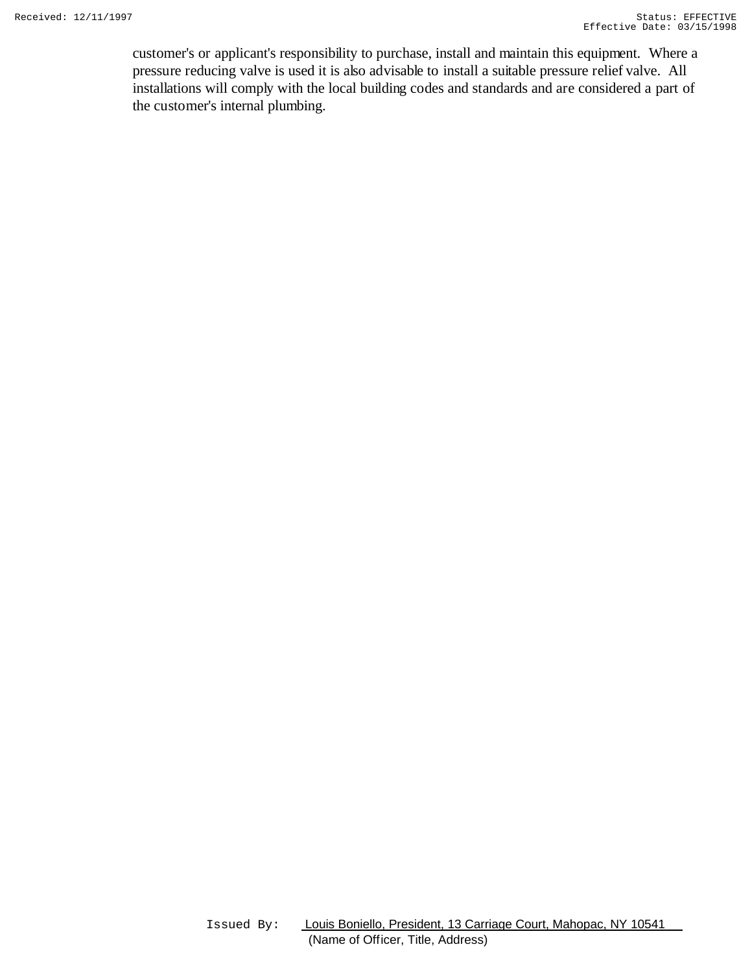customer's or applicant's responsibility to purchase, install and maintain this equipment. Where a pressure reducing valve is used it is also advisable to install a suitable pressure relief valve. All installations will comply with the local building codes and standards and are considered a part of the customer's internal plumbing.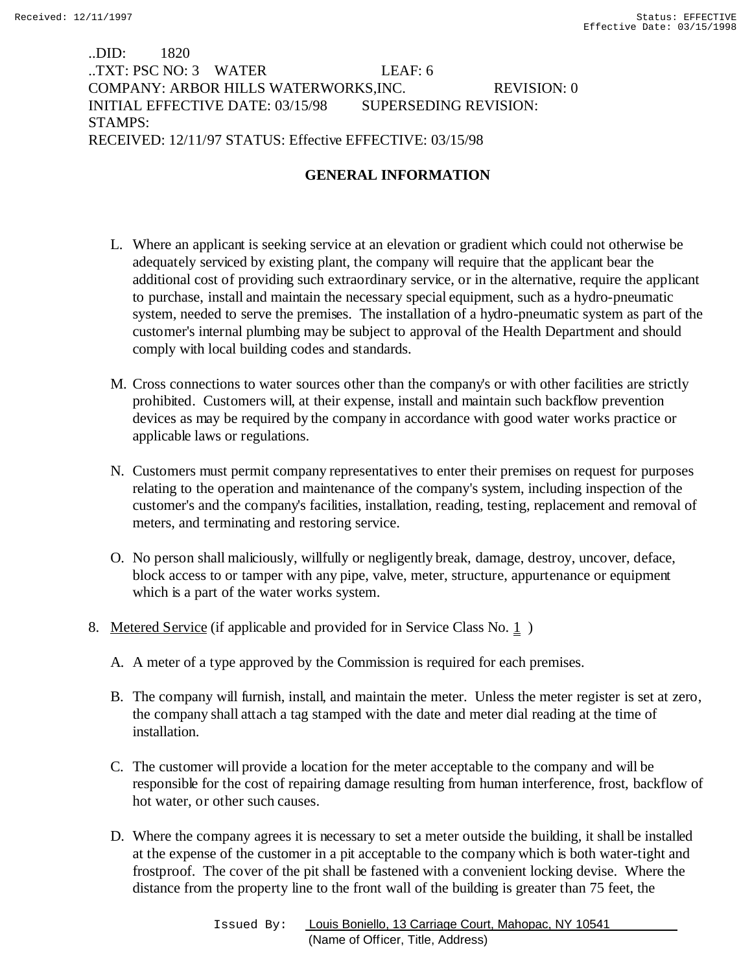# ..DID: 1820 ..TXT: PSC NO: 3 WATER LEAF: 6 COMPANY: ARBOR HILLS WATERWORKS,INC. REVISION: 0 INITIAL EFFECTIVE DATE: 03/15/98 SUPERSEDING REVISION: STAMPS: RECEIVED: 12/11/97 STATUS: Effective EFFECTIVE: 03/15/98

# **GENERAL INFORMATION**

- L. Where an applicant is seeking service at an elevation or gradient which could not otherwise be adequately serviced by existing plant, the company will require that the applicant bear the additional cost of providing such extraordinary service, or in the alternative, require the applicant to purchase, install and maintain the necessary special equipment, such as a hydro-pneumatic system, needed to serve the premises. The installation of a hydro-pneumatic system as part of the customer's internal plumbing may be subject to approval of the Health Department and should comply with local building codes and standards.
- M. Cross connections to water sources other than the company's or with other facilities are strictly prohibited. Customers will, at their expense, install and maintain such backflow prevention devices as may be required by the company in accordance with good water works practice or applicable laws or regulations.
- N. Customers must permit company representatives to enter their premises on request for purposes relating to the operation and maintenance of the company's system, including inspection of the customer's and the company's facilities, installation, reading, testing, replacement and removal of meters, and terminating and restoring service.
- O. No person shall maliciously, willfully or negligently break, damage, destroy, uncover, deface, block access to or tamper with any pipe, valve, meter, structure, appurtenance or equipment which is a part of the water works system.
- 8. Metered Service (if applicable and provided for in Service Class No. 1)
	- A. A meter of a type approved by the Commission is required for each premises.
	- B. The company will furnish, install, and maintain the meter. Unless the meter register is set at zero, the company shall attach a tag stamped with the date and meter dial reading at the time of installation.
	- C. The customer will provide a location for the meter acceptable to the company and will be responsible for the cost of repairing damage resulting from human interference, frost, backflow of hot water, or other such causes.
	- D. Where the company agrees it is necessary to set a meter outside the building, it shall be installed at the expense of the customer in a pit acceptable to the company which is both water-tight and frostproof. The cover of the pit shall be fastened with a convenient locking devise. Where the distance from the property line to the front wall of the building is greater than 75 feet, the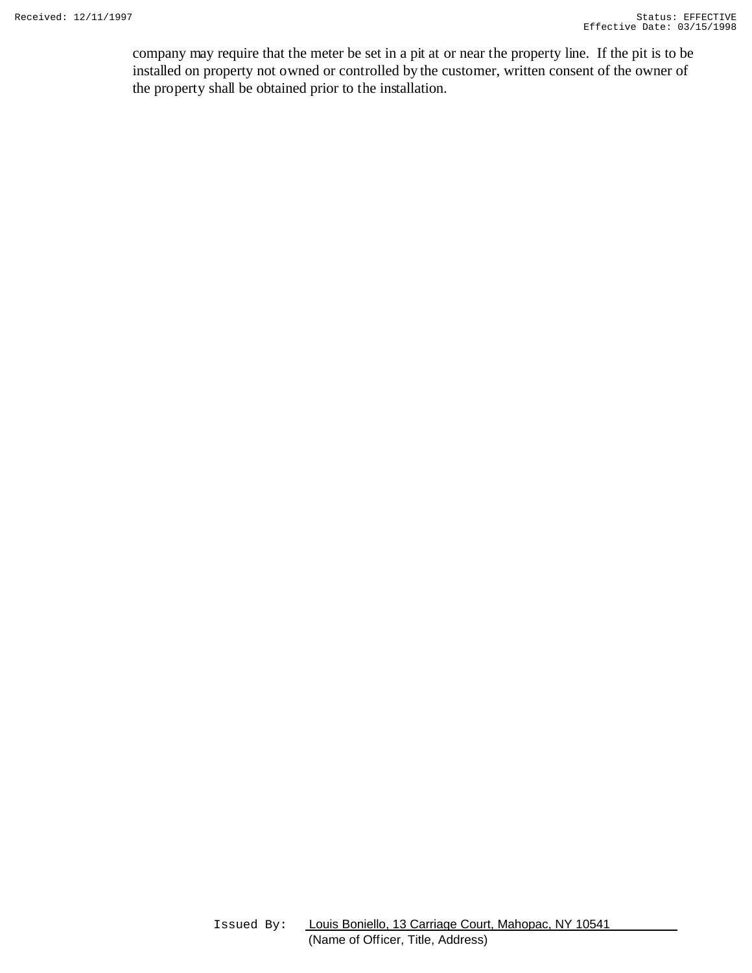company may require that the meter be set in a pit at or near the property line. If the pit is to be installed on property not owned or controlled by the customer, written consent of the owner of the property shall be obtained prior to the installation.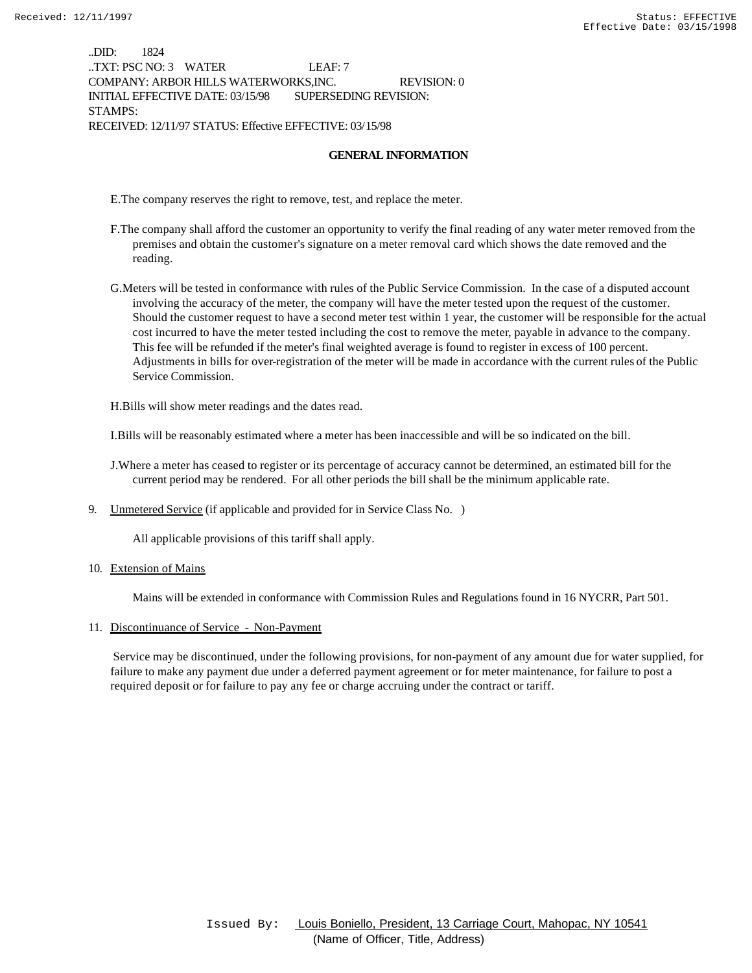..DID: 1824 ..TXT: PSC NO: 3 WATER LEAF: 7 COMPANY: ARBOR HILLS WATERWORKS,INC. REVISION: 0 INITIAL EFFECTIVE DATE: 03/15/98 SUPERSEDING REVISION: STAMPS: RECEIVED: 12/11/97 STATUS: Effective EFFECTIVE: 03/15/98

#### **GENERAL INFORMATION**

E.The company reserves the right to remove, test, and replace the meter.

- F.The company shall afford the customer an opportunity to verify the final reading of any water meter removed from the premises and obtain the customer's signature on a meter removal card which shows the date removed and the reading.
- G.Meters will be tested in conformance with rules of the Public Service Commission. In the case of a disputed account involving the accuracy of the meter, the company will have the meter tested upon the request of the customer. Should the customer request to have a second meter test within 1 year, the customer will be responsible for the actual cost incurred to have the meter tested including the cost to remove the meter, payable in advance to the company. This fee will be refunded if the meter's final weighted average is found to register in excess of 100 percent. Adjustments in bills for over-registration of the meter will be made in accordance with the current rules of the Public Service Commission.

H.Bills will show meter readings and the dates read.

I.Bills will be reasonably estimated where a meter has been inaccessible and will be so indicated on the bill.

- J.Where a meter has ceased to register or its percentage of accuracy cannot be determined, an estimated bill for the current period may be rendered. For all other periods the bill shall be the minimum applicable rate.
- 9. Unmetered Service (if applicable and provided for in Service Class No. )

All applicable provisions of this tariff shall apply.

10. Extension of Mains

Mains will be extended in conformance with Commission Rules and Regulations found in 16 NYCRR, Part 501.

#### 11. Discontinuance of Service - Non-Payment

 Service may be discontinued, under the following provisions, for non-payment of any amount due for water supplied, for failure to make any payment due under a deferred payment agreement or for meter maintenance, for failure to post a required deposit or for failure to pay any fee or charge accruing under the contract or tariff.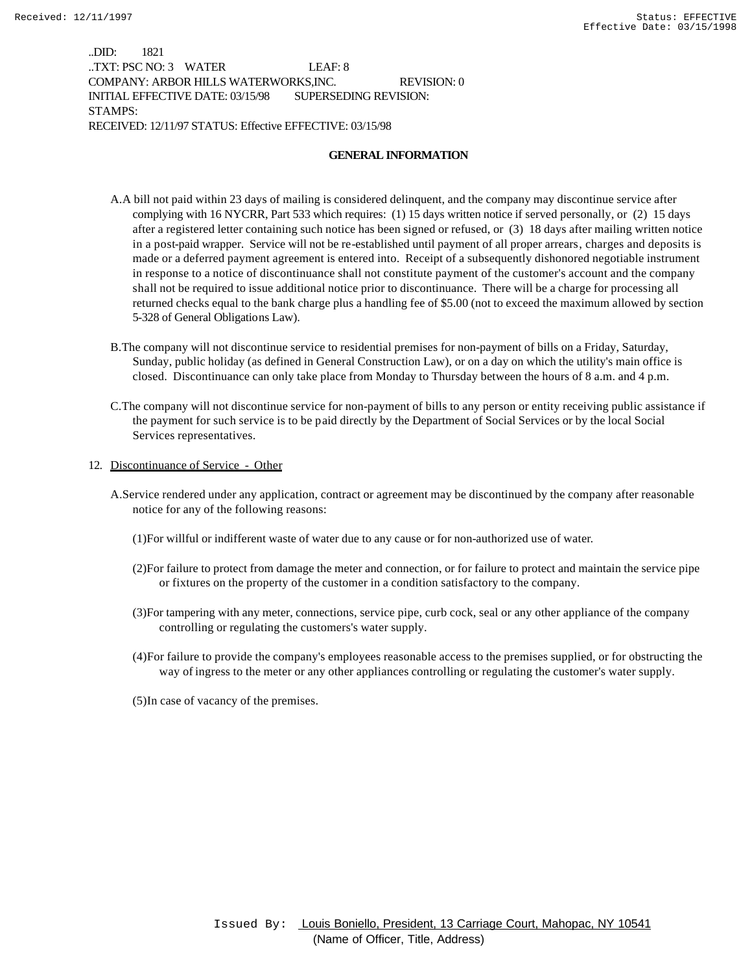..DID: 1821 ..TXT: PSC NO: 3 WATER LEAF: 8 COMPANY: ARBOR HILLS WATERWORKS,INC. REVISION: 0 INITIAL EFFECTIVE DATE: 03/15/98 SUPERSEDING REVISION: STAMPS: RECEIVED: 12/11/97 STATUS: Effective EFFECTIVE: 03/15/98

### **GENERAL INFORMATION**

- A.A bill not paid within 23 days of mailing is considered delinquent, and the company may discontinue service after complying with 16 NYCRR, Part 533 which requires: (1) 15 days written notice if served personally, or (2) 15 days after a registered letter containing such notice has been signed or refused, or (3) 18 days after mailing written notice in a post-paid wrapper. Service will not be re-established until payment of all proper arrears, charges and deposits is made or a deferred payment agreement is entered into. Receipt of a subsequently dishonored negotiable instrument in response to a notice of discontinuance shall not constitute payment of the customer's account and the company shall not be required to issue additional notice prior to discontinuance. There will be a charge for processing all returned checks equal to the bank charge plus a handling fee of \$5.00 (not to exceed the maximum allowed by section 5-328 of General Obligations Law).
- B.The company will not discontinue service to residential premises for non-payment of bills on a Friday, Saturday, Sunday, public holiday (as defined in General Construction Law), or on a day on which the utility's main office is closed. Discontinuance can only take place from Monday to Thursday between the hours of 8 a.m. and 4 p.m.
- C.The company will not discontinue service for non-payment of bills to any person or entity receiving public assistance if the payment for such service is to be paid directly by the Department of Social Services or by the local Social Services representatives.
- 12. Discontinuance of Service Other
	- A.Service rendered under any application, contract or agreement may be discontinued by the company after reasonable notice for any of the following reasons:
		- (1)For willful or indifferent waste of water due to any cause or for non-authorized use of water.
		- (2)For failure to protect from damage the meter and connection, or for failure to protect and maintain the service pipe or fixtures on the property of the customer in a condition satisfactory to the company.
		- (3)For tampering with any meter, connections, service pipe, curb cock, seal or any other appliance of the company controlling or regulating the customers's water supply.
		- (4)For failure to provide the company's employees reasonable access to the premises supplied, or for obstructing the way of ingress to the meter or any other appliances controlling or regulating the customer's water supply.
		- (5)In case of vacancy of the premises.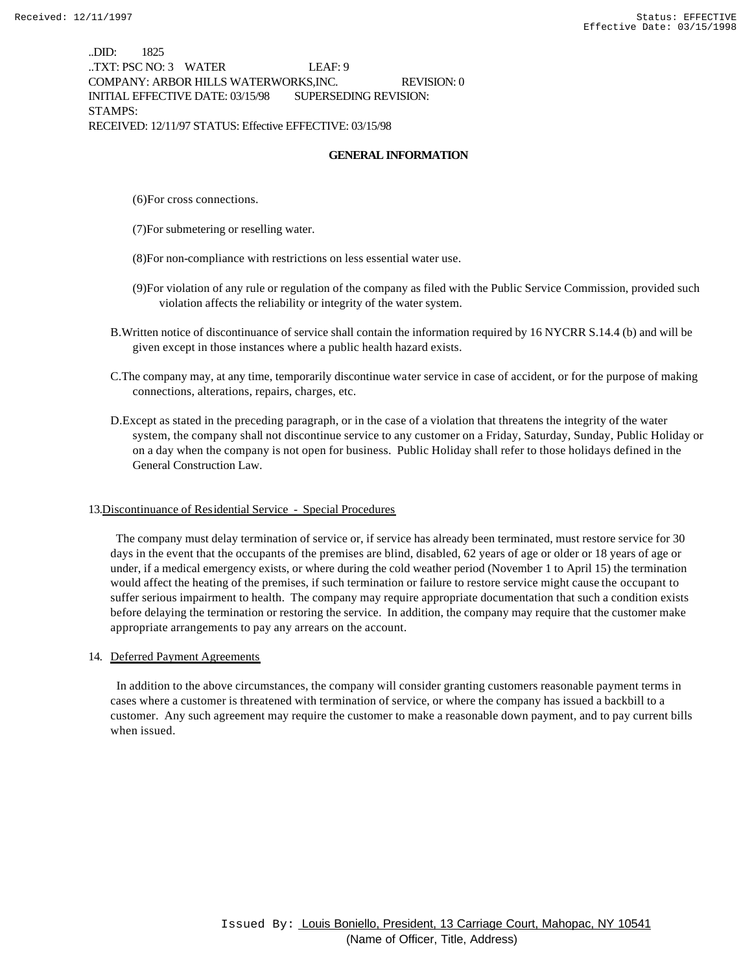..DID: 1825 ..TXT: PSC NO: 3 WATER LEAF: 9 COMPANY: ARBOR HILLS WATERWORKS,INC. REVISION: 0 INITIAL EFFECTIVE DATE: 03/15/98 SUPERSEDING REVISION: STAMPS: RECEIVED: 12/11/97 STATUS: Effective EFFECTIVE: 03/15/98

#### **GENERAL INFORMATION**

(6)For cross connections.

- (7)For submetering or reselling water.
- (8)For non-compliance with restrictions on less essential water use.
- (9)For violation of any rule or regulation of the company as filed with the Public Service Commission, provided such violation affects the reliability or integrity of the water system.
- B.Written notice of discontinuance of service shall contain the information required by 16 NYCRR S.14.4 (b) and will be given except in those instances where a public health hazard exists.
- C.The company may, at any time, temporarily discontinue water service in case of accident, or for the purpose of making connections, alterations, repairs, charges, etc.
- D.Except as stated in the preceding paragraph, or in the case of a violation that threatens the integrity of the water system, the company shall not discontinue service to any customer on a Friday, Saturday, Sunday, Public Holiday or on a day when the company is not open for business. Public Holiday shall refer to those holidays defined in the General Construction Law.

#### 13.Discontinuance of Residential Service - Special Procedures

 The company must delay termination of service or, if service has already been terminated, must restore service for 30 days in the event that the occupants of the premises are blind, disabled, 62 years of age or older or 18 years of age or under, if a medical emergency exists, or where during the cold weather period (November 1 to April 15) the termination would affect the heating of the premises, if such termination or failure to restore service might cause the occupant to suffer serious impairment to health. The company may require appropriate documentation that such a condition exists before delaying the termination or restoring the service. In addition, the company may require that the customer make appropriate arrangements to pay any arrears on the account.

#### 14. Deferred Payment Agreements

 In addition to the above circumstances, the company will consider granting customers reasonable payment terms in cases where a customer is threatened with termination of service, or where the company has issued a backbill to a customer. Any such agreement may require the customer to make a reasonable down payment, and to pay current bills when issued.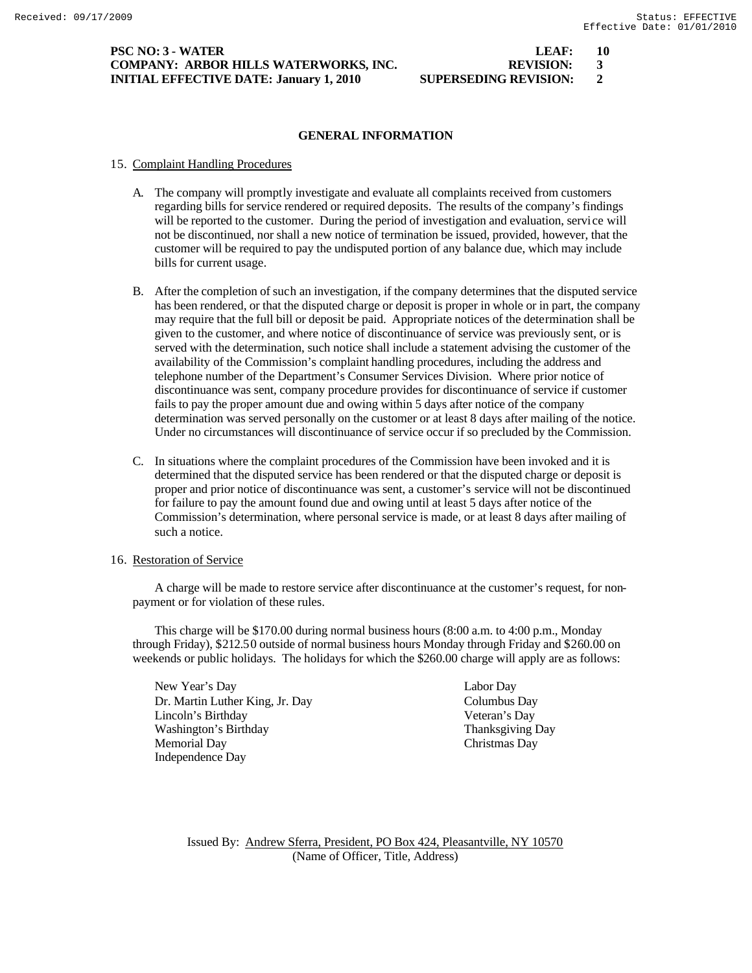### **PSC NO: 3 - WATER LEAF: 10 COMPANY: ARBOR HILLS WATERWORKS, INC. REVISION: 3 INITIAL EFFECTIVE DATE: January 1, 2010 SUPERSEDING REVISION: 2**

# **GENERAL INFORMATION**

#### 15. Complaint Handling Procedures

- A. The company will promptly investigate and evaluate all complaints received from customers regarding bills for service rendered or required deposits. The results of the company's findings will be reported to the customer. During the period of investigation and evaluation, service will not be discontinued, nor shall a new notice of termination be issued, provided, however, that the customer will be required to pay the undisputed portion of any balance due, which may include bills for current usage.
- B. After the completion of such an investigation, if the company determines that the disputed service has been rendered, or that the disputed charge or deposit is proper in whole or in part, the company may require that the full bill or deposit be paid. Appropriate notices of the determination shall be given to the customer, and where notice of discontinuance of service was previously sent, or is served with the determination, such notice shall include a statement advising the customer of the availability of the Commission's complaint handling procedures, including the address and telephone number of the Department's Consumer Services Division. Where prior notice of discontinuance was sent, company procedure provides for discontinuance of service if customer fails to pay the proper amount due and owing within 5 days after notice of the company determination was served personally on the customer or at least 8 days after mailing of the notice. Under no circumstances will discontinuance of service occur if so precluded by the Commission.
- C. In situations where the complaint procedures of the Commission have been invoked and it is determined that the disputed service has been rendered or that the disputed charge or deposit is proper and prior notice of discontinuance was sent, a customer's service will not be discontinued for failure to pay the amount found due and owing until at least 5 days after notice of the Commission's determination, where personal service is made, or at least 8 days after mailing of such a notice.

#### 16. Restoration of Service

A charge will be made to restore service after discontinuance at the customer's request, for nonpayment or for violation of these rules.

This charge will be \$170.00 during normal business hours (8:00 a.m. to 4:00 p.m., Monday through Friday), \$212.50 outside of normal business hours Monday through Friday and \$260.00 on weekends or public holidays. The holidays for which the \$260.00 charge will apply are as follows:

New Year's Day Labor Day Dr. Martin Luther King, Jr. Day Columbus Day Lincoln's Birthday Veteran's Day Washington's Birthday Thanksgiving Day Memorial Day Christmas Day Independence Day

Issued By: Andrew Sferra, President, PO Box 424, Pleasantville, NY 10570 (Name of Officer, Title, Address)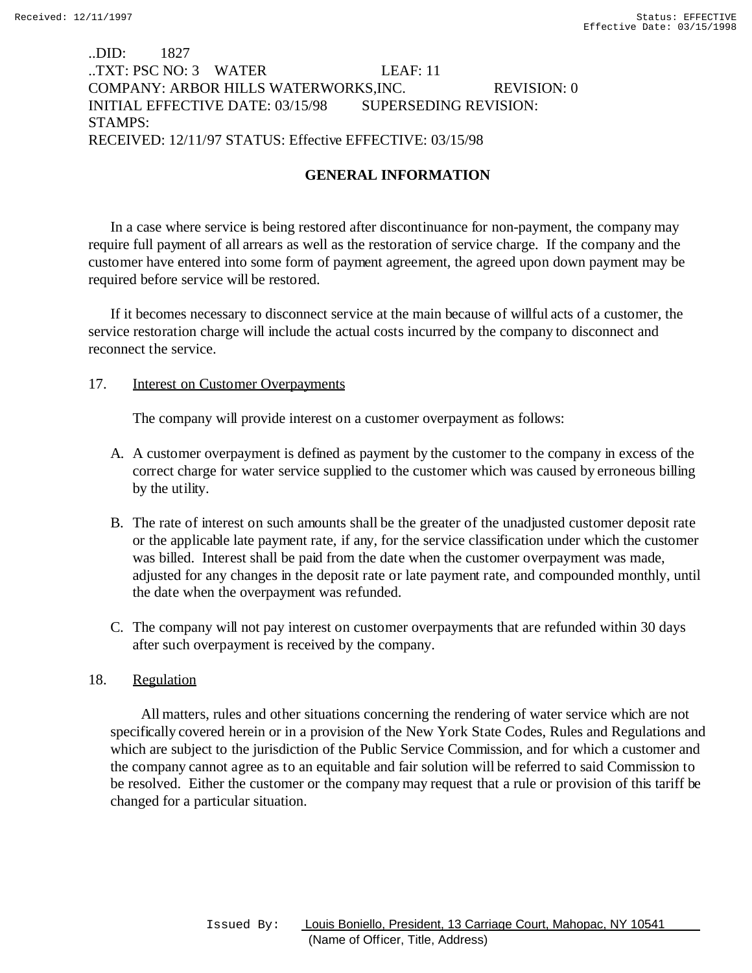# ..DID: 1827 ..TXT: PSC NO: 3 WATER LEAF: 11 COMPANY: ARBOR HILLS WATERWORKS,INC. REVISION: 0 INITIAL EFFECTIVE DATE: 03/15/98 SUPERSEDING REVISION: STAMPS: RECEIVED: 12/11/97 STATUS: Effective EFFECTIVE: 03/15/98

# **GENERAL INFORMATION**

In a case where service is being restored after discontinuance for non-payment, the company may require full payment of all arrears as well as the restoration of service charge. If the company and the customer have entered into some form of payment agreement, the agreed upon down payment may be required before service will be restored.

If it becomes necessary to disconnect service at the main because of willful acts of a customer, the service restoration charge will include the actual costs incurred by the company to disconnect and reconnect the service.

## 17. Interest on Customer Overpayments

The company will provide interest on a customer overpayment as follows:

- A. A customer overpayment is defined as payment by the customer to the company in excess of the correct charge for water service supplied to the customer which was caused by erroneous billing by the utility.
- B. The rate of interest on such amounts shall be the greater of the unadjusted customer deposit rate or the applicable late payment rate, if any, for the service classification under which the customer was billed. Interest shall be paid from the date when the customer overpayment was made, adjusted for any changes in the deposit rate or late payment rate, and compounded monthly, until the date when the overpayment was refunded.
- C. The company will not pay interest on customer overpayments that are refunded within 30 days after such overpayment is received by the company.

## 18. Regulation

 All matters, rules and other situations concerning the rendering of water service which are not specifically covered herein or in a provision of the New York State Codes, Rules and Regulations and which are subject to the jurisdiction of the Public Service Commission, and for which a customer and the company cannot agree as to an equitable and fair solution will be referred to said Commission to be resolved. Either the customer or the company may request that a rule or provision of this tariff be changed for a particular situation.